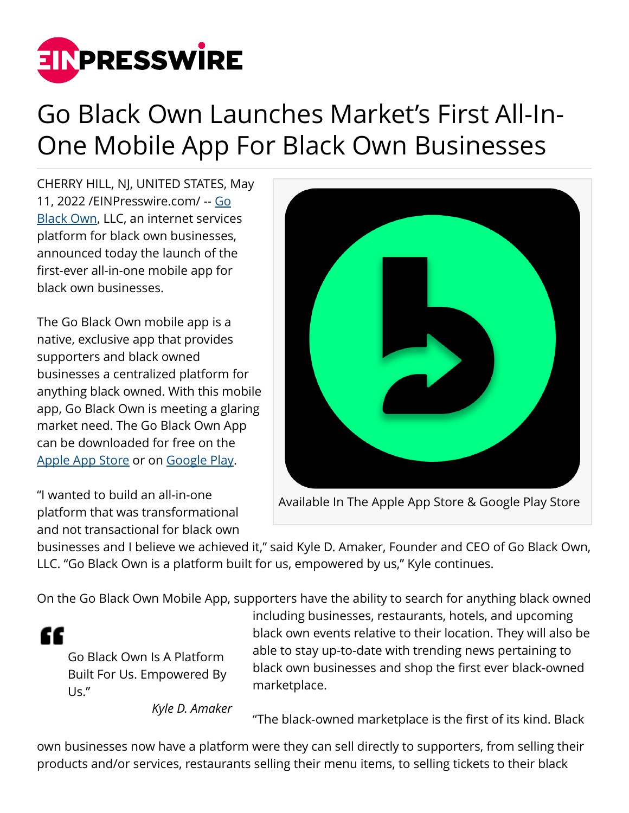

## Go Black Own Launches Market's First All-In-One Mobile App For Black Own Businesses

CHERRY HILL, NJ, UNITED STATES, May 11, 2022 /[EINPresswire.com/](http://www.einpresswire.com) -- [Go](https://goblackown.com/) **[Black Own,](https://goblackown.com/) LLC, an internet services** platform for black own businesses, announced today the launch of the first-ever all-in-one mobile app for black own businesses.

The Go Black Own mobile app is a native, exclusive app that provides supporters and black owned businesses a centralized platform for anything black owned. With this mobile app, Go Black Own is meeting a glaring market need. The Go Black Own App can be downloaded for free on the [Apple App Store](https://apps.apple.com/us/app/go-black-own/id1605714223) or on [Google Play.](https://play.google.com/store/apps/details?id=com.goblackown.android)

"I wanted to build an all-in-one platform that was transformational and not transactional for black own



Available In The Apple App Store & Google Play Store

businesses and I believe we achieved it," said Kyle D. Amaker, Founder and CEO of Go Black Own, LLC. "Go Black Own is a platform built for us, empowered by us," Kyle continues.

On the Go Black Own Mobile App, supporters have the ability to search for anything black owned

"

Go Black Own Is A Platform Built For Us. Empowered By Us."

including businesses, restaurants, hotels, and upcoming black own events relative to their location. They will also be able to stay up-to-date with trending news pertaining to black own businesses and shop the first ever black-owned marketplace.

*Kyle D. Amaker*

"The black-owned marketplace is the first of its kind. Black

own businesses now have a platform were they can sell directly to supporters, from selling their products and/or services, restaurants selling their menu items, to selling tickets to their black